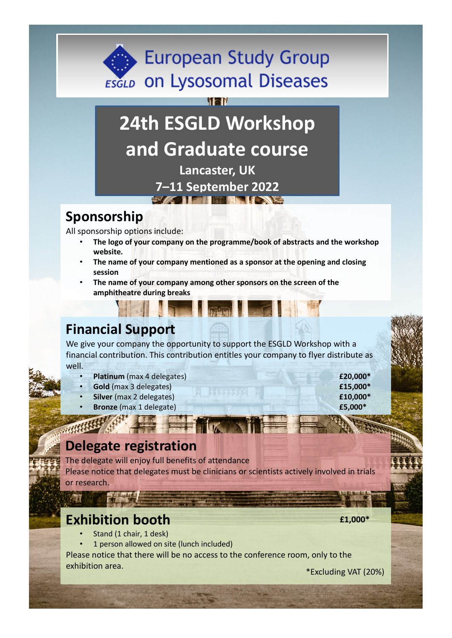## **European Study Group ESGLD** ON Lysosomal Diseases

# **24th ESGLD Workshop and Graduate course**

**Tar** 

**Lancaster, UK 7–11 September 2022**

#### **Sponsorship**

All sponsorship options include:

- **The logo of your company on the programme/book of abstracts and the workshop website.**
- **The name of your company mentioned as a sponsor at the opening and closing session**
- **The name of your company among other sponsors on the screen of the amphitheatre during breaks**

### **Financial Support**

We give your company the opportunity to support the ESGLD Workshop with a financial contribution. This contribution entitles your company to flyer distribute as well.

- **Platinum** (max 4 delegates) **£20,000\***
- **Gold** (max 3 delegates) **£15,000\***
	- **Silver** (max 2 delegates) **£10,000\***
- **Bronze** (max 1 delegate) **£5,000\***

#### **Delegate registration**

The delegate will enjoy full benefits of attendance Please notice that delegates must be clinicians or scientists actively involved in trials or research.

#### **Exhibition booth**

- Stand (1 chair, 1 desk)
- 1 person allowed on site (lunch included)

Please notice that there will be no access to the conference room, only to the exhibition area. \*Excluding VAT (20%)

**£1,000\***